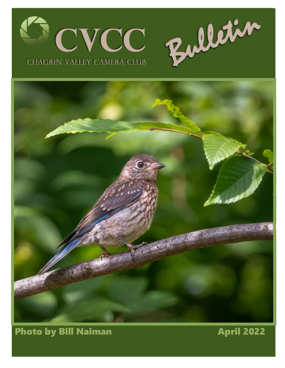



## Photo by Bill Naiman **April 2022**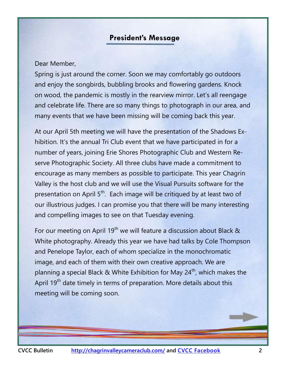#### **President's Message**

#### <span id="page-1-0"></span>Dear Member,

Spring is just around the corner. Soon we may comfortably go outdoors and enjoy the songbirds, bubbling brooks and flowering gardens. Knock on wood, the pandemic is mostly in the rearview mirror. Let's all reengage and celebrate life. There are so many things to photograph in our area, and many events that we have been missing will be coming back this year.

At our April 5th meeting we will have the presentation of the Shadows Exhibition. It's the annual Tri Club event that we have participated in for a number of years, joining Erie Shores Photographic Club and Western Reserve Photographic Society. All three clubs have made a commitment to encourage as many members as possible to participate. This year Chagrin Valley is the host club and we will use the Visual Pursuits software for the presentation on April 5<sup>th</sup>. Each image will be critiqued by at least two of our illustrious judges. I can promise you that there will be many interesting and compelling images to see on that Tuesday evening.

For our meeting on April 19<sup>th</sup> we will feature a discussion about Black & White photography. Already this year we have had talks by Cole Thompson and Penelope Taylor, each of whom specialize in the monochromatic image, and each of them with their own creative approach. We are planning a special Black & White Exhibition for May  $24<sup>th</sup>$ , which makes the April  $19<sup>th</sup>$  date timely in terms of preparation. More details about this meeting will be coming soon.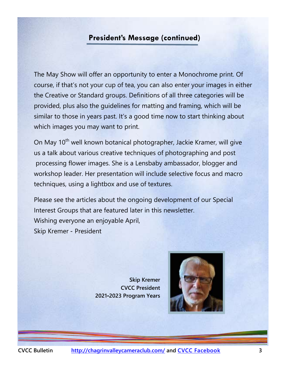#### **President's Message (continued)**

The May Show will offer an opportunity to enter a Monochrome print. Of course, if that's not your cup of tea, you can also enter your images in either the Creative or Standard groups. Definitions of all three categories will be provided, plus also the guidelines for matting and framing, which will be similar to those in years past. It's a good time now to start thinking about which images you may want to print.

On May 10<sup>th</sup> well known botanical photographer, Jackie Kramer, will give us a talk about various creative techniques of photographing and post processing flower images. She is a Lensbaby ambassador, blogger and workshop leader. Her presentation will include selective focus and macro techniques, using a lightbox and use of textures.

Please see the articles about the ongoing development of our Special Interest Groups that are featured later in this newsletter. Wishing everyone an enjoyable April, Skip Kremer - President

> **Marina Newslett CVCC President 2021-2023 Program Years Skip Kremer CVCC President**

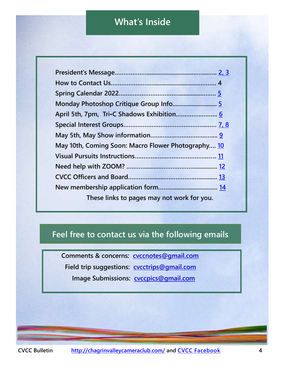## **What's Inside**

**President's Message**

| May 10th, Coming Soon: Macro Flower Photography 10 |  |
|----------------------------------------------------|--|
|                                                    |  |
|                                                    |  |
|                                                    |  |
|                                                    |  |
| These links to pages may not work for you.         |  |

#### **Feel free to contact us via the following emails**

**Marina Neyman**

**Comments & concerns: [cvccnotes@gmail.com](mailto:cvccnotes@gmail.com) Field trip suggestions: [cvcctrips@gmail.com](mailto:cvcctrips@gmail.com) Image Submissions: [cvccpics@gmail.com](mailto:cvccpics@gmail.com)**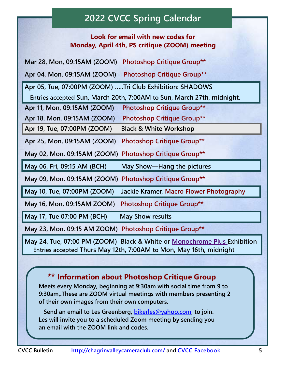# **2022 CVCC Spring Calendar**

#### **Look for email with new codes for Monday, April 4th, PS critique (ZOOM) meeting**

<span id="page-4-0"></span>**Mar 28, Mon, 09:15AM (ZOOM) Photoshop Critique Group\*\***

**Apr 04, Mon, 09:15AM (ZOOM) Photoshop Critique Group\*\*** 

**Apr 05, Tue, 07:00PM (ZOOM) …..Tri Club Exhibition: SHADOWS**

 **Entries accepted Sun, March 20th, 7:00AM to Sun, March 27th, midnight.**

**Apr 11, Mon, 09:15AM (ZOOM) Photoshop Critique Group\*\***

**Apr 18, Mon, 09:15AM (ZOOM) Photoshop Critique Group\*\***

**Apr 19, Tue, 07:00PM (ZOOM) Black & White Workshop**

**Apr 25, Mon, 09:15AM (ZOOM) Photoshop Critique Group\*\*** 

**May 02, Mon, 09:15AM (ZOOM) Photoshop Critique Group\*\***

**May 06, Fri, 09:15 AM (BCH) May Show—Hang the pictures**

**May 09, Mon, 09:15AM (ZOOM) Photoshop Critique Group\*\*** 

**May 10, Tue, 07:00PM (ZOOM) Jackie Kramer, Macro Flower Photography** 

**May 16, Mon, 09:15AM ZOOM) Photoshop Critique Group\*\*** 

May 17, Tue 07:00 PM (BCH) May Show results

**May 23, Mon, 09:15 AM ZOOM) Photoshop Critique Group\*\***

**May 24, Tue, 07:00 PM (ZOOM) Black & White or Monochrome Plus Exhibition Entries accepted Thurs May 12th, 7:00AM to Mon, May 16th, midnight**

#### **Information about Photoshop Critique Group**

 **Meets every Monday, beginning at 9:30am with social time from 9 to 9:30am,.These are ZOOM virtual meetings with members presenting 2 of their own images from their own computers.** 

 **Send an email to Les Greenberg, [bikerles@yahoo.com,](mailto:bikerles@yahoo.com) to join. Les will invite you to a scheduled Zoom meeting by sending you an email with the ZOOM link and codes.**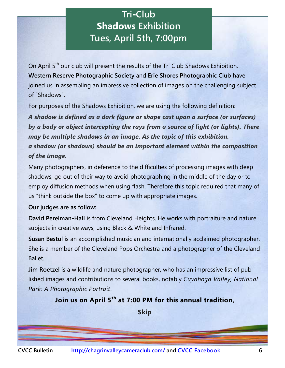# **Tri-Club Shadows Exhibition Tues, April 5th, 7:00pm**

<span id="page-5-0"></span>On April 5<sup>th</sup> our club will present the results of the Tri Club Shadows Exhibition. **Western Reserve Photographic Society** and **Erie Shores Photographic Club** have joined us in assembling an impressive collection of images on the challenging subject of "Shadows".

For purposes of the Shadows Exhibition, we are using the following definition:

*A shadow is defined as a dark figure or shape cast upon a surface (or surfaces) by a body or object intercepting the rays from a source of light (or lights). There may be multiple shadows in an image. As the topic of this exhibition, a shadow (or shadows) should be an important element within the composition of the image.* 

Many photographers, in deference to the difficulties of processing images with deep shadows, go out of their way to avoid photographing in the middle of the day or to employ diffusion methods when using flash. Therefore this topic required that many of us "think outside the box" to come up with appropriate images.

#### **Our judges are as follow:**

**David Perelman-Hall** is from Cleveland Heights. He works with portraiture and nature subjects in creative ways, using Black & White and Infrared.

**Susan Bestul** is an accomplished musician and internationally acclaimed photographer. She is a member of the Cleveland Pops Orchestra and a photographer of the Cleveland Ballet.

**Jim Roetzel** is a wildlife and nature photographer, who has an impressive list of published images and contributions to several books, notably *[Cuyahoga Valley, National](https://nam11.safelinks.protection.outlook.com/?url=http%3A%2F%2Fwww.twinlightspub.com%2Fdescription.asp%3Fid%3D85&data=04%7C01%7Closher%40kent.edu%7Cda43e2c1f09247342a6308da07a68089%7Ce5a06f4a1ec44d018f73e7dd15f26134%7C1%7C0%7C637830708950516362%7CUnknown%7C)  [Park: A Photographic Portrait](https://nam11.safelinks.protection.outlook.com/?url=http%3A%2F%2Fwww.twinlightspub.com%2Fdescription.asp%3Fid%3D85&data=04%7C01%7Closher%40kent.edu%7Cda43e2c1f09247342a6308da07a68089%7Ce5a06f4a1ec44d018f73e7dd15f26134%7C1%7C0%7C637830708950516362%7CUnknown%7C)*.

**Join us on April 5th at 7:00 PM for this annual tradition,**

**Skip**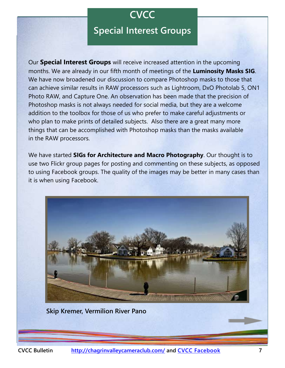### **CVCC**

### **Special Interest Groups**

<span id="page-6-0"></span>Our **Special Interest Groups** will receive increased attention in the upcoming months. We are already in our fifth month of meetings of the **Luminosity Masks SIG**. We have now broadened our discussion to compare Photoshop masks to those that can achieve similar results in RAW processors such as Lightroom, DxO Photolab 5, ON1 Photo RAW, and Capture One. An observation has been made that the precision of Photoshop masks is not always needed for social media, but they are a welcome addition to the toolbox for those of us who prefer to make careful adjustments or who plan to make prints of detailed subjects. Also there are a great many more things that can be accomplished with Photoshop masks than the masks available in the RAW processors.

We have started **SIGs for Architecture and Macro Photography**. Our thought is to use two Flickr group pages for posting and commenting on these subjects, as opposed to using Facebook groups. The quality of the images may be better in many cases than it is when using Facebook.



**Skip Kremer, Vermilion River Pano**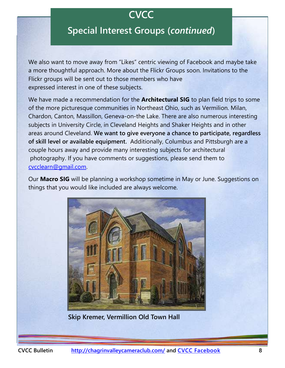# **CVCC**

## **Special Interest Groups (***continued***)**

We also want to move away from "Likes" centric viewing of Facebook and maybe take a more thoughtful approach. More about the Flickr Groups soon. Invitations to the Flickr groups will be sent out to those members who have expressed interest in one of these subjects.

We have made a recommendation for the **Architectural SIG** to plan field trips to some of the more picturesque communities in Northeast Ohio, such as Vermilion. Milan, Chardon, Canton, Massillon, Geneva-on-the Lake. There are also numerous interesting subjects in University Circle, in Cleveland Heights and Shaker Heights and in other areas around Cleveland. **We want to give everyone a chance to participate, regardless of skill level or available equipment.** Additionally, Columbus and Pittsburgh are a couple hours away and provide many interesting subjects for architectural photography. If you have comments or suggestions, please send them to [cvcclearn@gmail.com.](mailto:cvcclearn@gmail.com)

Our **Macro SIG** will be planning a workshop sometime in May or June. Suggestions on things that you would like included are always welcome.



**Skip Kremer, Vermillion Old Town Hall**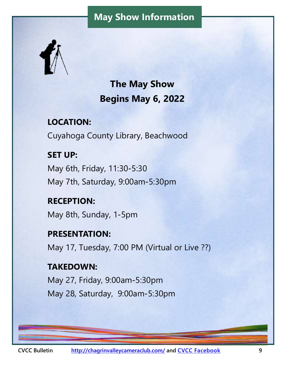## **May Show Information**

<span id="page-8-0"></span>

**The May Show Begins May 6, 2022**

**LOCATION:**  Cuyahoga County Library, Beachwood

**SET UP:**  May 6th, Friday, 11:30-5:30 May 7th, Saturday, 9:00am-5:30pm

**RECEPTION:**  May 8th, Sunday, 1-5pm

**PRESENTATION:**  May 17, Tuesday, 7:00 PM (Virtual or Live ??)

**TAKEDOWN:**  May 27, Friday, 9:00am-5:30pm May 28, Saturday, 9:00am-5:30pm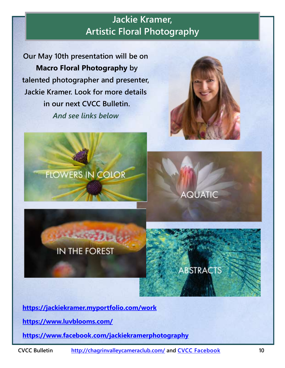# **Jackie Kramer, Artistic Floral Photography**

<span id="page-9-0"></span>**Our May 10th presentation will be on Macro Floral Photography by talented photographer and presenter, Jackie Kramer. Look for more details in our next CVCC Bulletin.**  *And see links below* 







**ABSTRACTS** 

AQUATIC

**<https://jackiekramer.myportfolio.com/work>**

**<https://www.luvblooms.com/>**

**<https://www.facebook.com/jackiekramerphotography>**

**CVCC Bulletin <http://chagrinvalleycameraclub.com/> and [CVCC Facebook](https://www.facebook.com/groups/1595867520665401/) 10**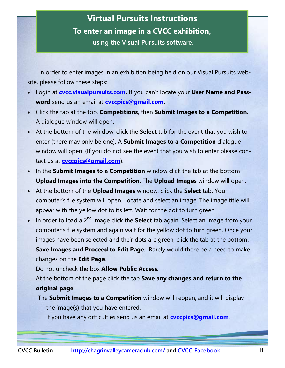## <span id="page-10-0"></span>**Virtual Pursuits Instructions To enter an image in a CVCC exhibition, using the Visual Pursuits software.**

 In order to enter images in an exhibition being held on our Visual Pursuits website, please follow these steps:

- Login at **[cvcc.visualpursuits.com.](cvcc.visualpursuits.com)** If you can't locate your **User Name and Password** send us an email at **[cvccpics@gmail.com.](mailto:cvccpics@gmail.com)**
- Click the tab at the top. **Competitions**, then **Submit Images to a Competition.**  A dialogue window will open.
- At the bottom of the window, click the **Select** tab for the event that you wish to enter (there may only be one). A **Submit Images to a Competition** dialogue window will open. (If you do not see the event that you wish to enter please contact us at **[cvccpics@gmail.com](mailto:cvccpics@gmail.com)**).
- In the **Submit Images to a Competition** window click the tab at the bottom **Upload Images into the Competition**. The **Upload Images** window will open**.**
- At the bottom of the **Upload Images** window, click the **Select** tab**.** Your computer's file system will open. Locate and select an image. The image title will appear with the yellow dot to its left. Wait for the dot to turn green.
- In order to load a 2<sup>nd</sup> image click the **Select** tab again. Select an image from your computer's file system and again wait for the yellow dot to turn green. Once your images have been selected and their dots are green, click the tab at the bottom**, Save Images and Proceed to Edit Page**. Rarely would there be a need to make changes on the **Edit Page**.

Do not uncheck the box **Allow Public Access**.

At the bottom of the page click the tab **Save any changes and return to the original page**.

The **Submit Images to a Competition** window will reopen, and it will display the image(s) that you have entered.

If you have any difficulties send us an email at **[cvccpics@gmail.com](mailto:cvccpics@gmail.com.)**.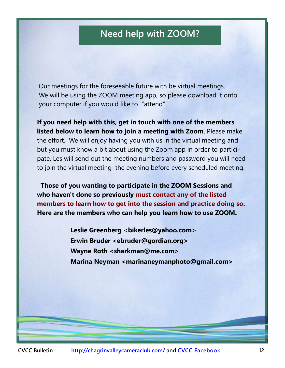## **Need help with ZOOM?**

<span id="page-11-0"></span>Our meetings for the foreseeable future with be virtual meetings. We will be using the ZOOM meeting app, so please download it onto your computer if you would like to "attend".

**If you need help with this, get in touch with one of the members listed below to learn how to join a meeting with Zoom**. Please make the effort. We will enjoy having you with us in the virtual meeting and but you must know a bit about using the Zoom app in order to participate. Les will send out the meeting numbers and password you will need to join the virtual meeting the evening before every scheduled meeting.

 **Those of you wanting to participate in the ZOOM Sessions and who haven't done so previously must contact any of the listed members to learn how to get into the session and practice doing so. Here are the members who can help you learn how to use ZOOM.**

> **Leslie Greenberg <bikerles@yahoo.com> Erwin Bruder <ebruder@gordian.org> Wayne Roth <sharkman@me.com> Marina Neyman <marinaneymanphoto@gmail.com>**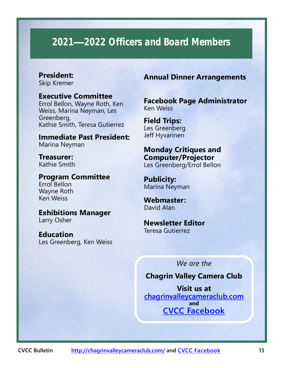# <span id="page-12-0"></span>**2021—2022 Officers and Board Members**

### **President:**

Skip Kremer

#### **Executive Committee** Errol Bellon, Wayne Roth, Ken

Weiss, Marina Neyman, Les Greenberg, Kathie Smith, Teresa Gutierrez

**Immediate Past President:**  Marina Neyman

**Treasurer:**  Kathie Smith

**Program Committee** Errol Bellon Wayne Roth Ken Weiss

**Exhibitions Manager** Larry Osher

**Education** Les Greenberg, Ken Weiss

#### **Annual Dinner Arrangements**

**Facebook Page Administrator** Ken Weiss

**Field Trips:**  Les Greenberg Jeff Hyvarinen

**Monday Critiques and Computer/Projector** Les Greenberg/Errol Bellon

**Publicity:**  Marina Neyman

**Webmaster:**  David Alan

**Newsletter Editor** Teresa Gutierrez

*We are the* 

#### **Chagrin Valley Camera Club**

**Visit us at <chagrinvalleycameraclub.com> and [CVCC Facebook](https://www.facebook.com/groups/1595867520665401/)**